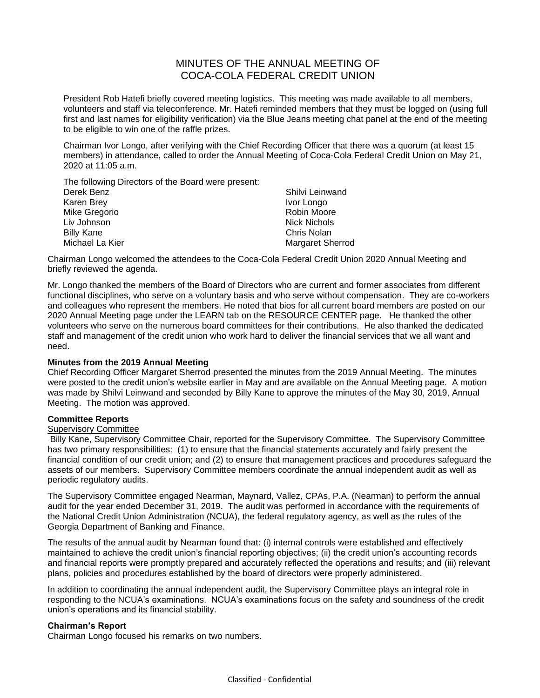# MINUTES OF THE ANNUAL MEETING OF COCA-COLA FEDERAL CREDIT UNION

President Rob Hatefi briefly covered meeting logistics. This meeting was made available to all members, volunteers and staff via teleconference. Mr. Hatefi reminded members that they must be logged on (using full first and last names for eligibility verification) via the Blue Jeans meeting chat panel at the end of the meeting to be eligible to win one of the raffle prizes.

Chairman Ivor Longo, after verifying with the Chief Recording Officer that there was a quorum (at least 15 members) in attendance, called to order the Annual Meeting of Coca-Cola Federal Credit Union on May 21, 2020 at 11:05 a.m.

The following Directors of the Board were present:

| Derek Benz        | Shilvi Leinwand         |
|-------------------|-------------------------|
| Karen Brey        | Ivor Longo              |
| Mike Gregorio     | Robin Moore             |
| Liv Johnson       | <b>Nick Nichols</b>     |
| <b>Billy Kane</b> | Chris Nolan             |
| Michael La Kier   | <b>Margaret Sherrod</b> |
|                   |                         |

Chairman Longo welcomed the attendees to the Coca-Cola Federal Credit Union 2020 Annual Meeting and briefly reviewed the agenda.

Mr. Longo thanked the members of the Board of Directors who are current and former associates from different functional disciplines, who serve on a voluntary basis and who serve without compensation. They are co-workers and colleagues who represent the members. He noted that bios for all current board members are posted on our 2020 Annual Meeting page under the LEARN tab on the RESOURCE CENTER page. He thanked the other volunteers who serve on the numerous board committees for their contributions. He also thanked the dedicated staff and management of the credit union who work hard to deliver the financial services that we all want and need.

## **Minutes from the 2019 Annual Meeting**

Chief Recording Officer Margaret Sherrod presented the minutes from the 2019 Annual Meeting. The minutes were posted to the credit union's website earlier in May and are available on the Annual Meeting page. A motion was made by Shilvi Leinwand and seconded by Billy Kane to approve the minutes of the May 30, 2019, Annual Meeting. The motion was approved.

### **Committee Reports**

### Supervisory Committee

Billy Kane, Supervisory Committee Chair, reported for the Supervisory Committee. The Supervisory Committee has two primary responsibilities: (1) to ensure that the financial statements accurately and fairly present the financial condition of our credit union; and (2) to ensure that management practices and procedures safeguard the assets of our members. Supervisory Committee members coordinate the annual independent audit as well as periodic regulatory audits.

The Supervisory Committee engaged Nearman, Maynard, Vallez, CPAs, P.A. (Nearman) to perform the annual audit for the year ended December 31, 2019. The audit was performed in accordance with the requirements of the National Credit Union Administration (NCUA), the federal regulatory agency, as well as the rules of the Georgia Department of Banking and Finance.

The results of the annual audit by Nearman found that: (i) internal controls were established and effectively maintained to achieve the credit union's financial reporting objectives; (ii) the credit union's accounting records and financial reports were promptly prepared and accurately reflected the operations and results; and (iii) relevant plans, policies and procedures established by the board of directors were properly administered.

In addition to coordinating the annual independent audit, the Supervisory Committee plays an integral role in responding to the NCUA's examinations. NCUA's examinations focus on the safety and soundness of the credit union's operations and its financial stability.

### **Chairman's Report**

Chairman Longo focused his remarks on two numbers.